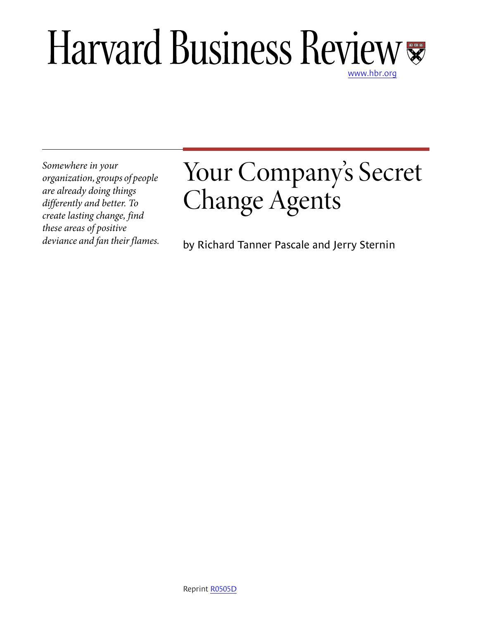## Harvard Business Review [www.hbr.org](http://www.hbr.org)

*Somewhere in your organization, groups of people are already doing things differently and better. To create lasting change, find these areas of positive deviance and fan their flames.*

# Your Company's Secret Change Agents

by Richard Tanner Pascale and Jerry Sternin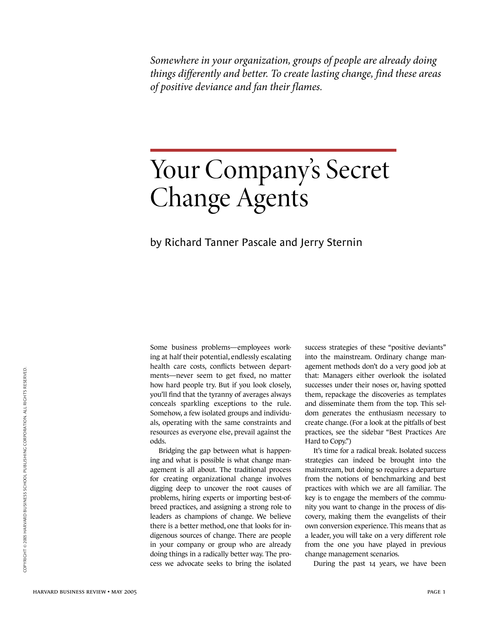*Somewhere in your organization, groups of people are already doing things differently and better. To create lasting change, find these areas of positive deviance and fan their flames.*

## Your Company's Secret Change Agents

by Richard Tanner Pascale and Jerry Sternin

Some business problems—employees working at half their potential, endlessly escalating health care costs, conflicts between departments—never seem to get fixed, no matter how hard people try. But if you look closely, you'll find that the tyranny of averages always conceals sparkling exceptions to the rule. Somehow, a few isolated groups and individuals, operating with the same constraints and resources as everyone else, prevail against the odds.

Bridging the gap between what is happening and what is possible is what change management is all about. The traditional process for creating organizational change involves digging deep to uncover the root causes of problems, hiring experts or importing best-ofbreed practices, and assigning a strong role to leaders as champions of change. We believe there is a better method, one that looks for indigenous sources of change. There are people in your company or group who are already doing things in a radically better way. The process we advocate seeks to bring the isolated

success strategies of these "positive deviants" into the mainstream. Ordinary change management methods don't do a very good job at that: Managers either overlook the isolated successes under their noses or, having spotted them, repackage the discoveries as templates and disseminate them from the top. This seldom generates the enthusiasm necessary to create change. (For a look at the pitfalls of best practices, see the sidebar "Best Practices Are Hard to Copy.")

It's time for a radical break. Isolated success strategies can indeed be brought into the mainstream, but doing so requires a departure from the notions of benchmarking and best practices with which we are all familiar. The key is to engage the members of the community you want to change in the process of discovery, making them the evangelists of their own conversion experience. This means that as a leader, you will take on a very different role from the one you have played in previous change management scenarios.

During the past 14 years, we have been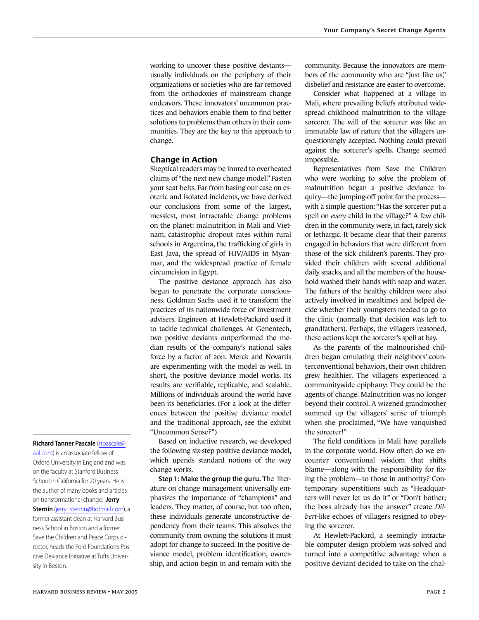working to uncover these positive deviants usually individuals on the periphery of their organizations or societies who are far removed from the orthodoxies of mainstream change endeavors. These innovators' uncommon practices and behaviors enable them to find better solutions to problems than others in their communities. They are the key to this approach to change.

#### **Change in Action**

Skeptical readers may be inured to overheated claims of "the next new change model." Fasten your seat belts. Far from basing our case on esoteric and isolated incidents, we have derived our conclusions from some of the largest, messiest, most intractable change problems on the planet: malnutrition in Mali and Vietnam, catastrophic dropout rates within rural schools in Argentina, the trafficking of girls in East Java, the spread of HIV/AIDS in Myanmar, and the widespread practice of female circumcision in Egypt.

The positive deviance approach has also begun to penetrate the corporate consciousness. Goldman Sachs used it to transform the practices of its nationwide force of investment advisers. Engineers at Hewlett-Packard used it to tackle technical challenges. At Genentech, two positive deviants outperformed the median results of the company's national sales force by a factor of 20:1. Merck and Novartis are experimenting with the model as well. In short, the positive deviance model works. Its results are verifiable, replicable, and scalable. Millions of individuals around the world have been its beneficiaries. (For a look at the differences between the positive deviance model and the traditional approach, see the exhibit "Uncommon Sense?")

Based on inductive research, we developed the following six-step positive deviance model, which upends standard notions of the way change works.

**Step 1: Make the group the guru.** The literature on change management universally emphasizes the importance of "champions" and leaders. They matter, of course, but too often, these individuals generate unconstructive dependency from their teams. This absolves the community from owning the solutions it must adopt for change to succeed. In the positive deviance model, problem identification, ownership, and action begin in and remain with the

community. Because the innovators are members of the community who are "just like us," disbelief and resistance are easier to overcome.

Consider what happened at a village in Mali, where prevailing beliefs attributed widespread childhood malnutrition to the village sorcerer. The will of the sorcerer was like an immutable law of nature that the villagers unquestioningly accepted. Nothing could prevail against the sorcerer's spells. Change seemed impossible.

Representatives from Save the Children who were working to solve the problem of malnutrition began a positive deviance inquiry—the jumping-off point for the process with a simple question: "Has the sorcerer put a spell on *every* child in the village?" A few children in the community were, in fact, rarely sick or lethargic. It became clear that their parents engaged in behaviors that were different from those of the sick children's parents. They provided their children with several additional daily snacks, and all the members of the household washed their hands with soap and water. The fathers of the healthy children were also actively involved in mealtimes and helped decide whether their youngsters needed to go to the clinic (normally that decision was left to grandfathers). Perhaps, the villagers reasoned, these actions kept the sorcerer's spell at bay.

As the parents of the malnourished children began emulating their neighbors' counterconventional behaviors, their own children grew healthier. The villagers experienced a communitywide epiphany: They could be the agents of change. Malnutrition was no longer beyond their control. A wizened grandmother summed up the villagers' sense of triumph when she proclaimed, "We have vanquished the sorcerer!"

The field conditions in Mali have parallels in the corporate world. How often do we encounter conventional wisdom that shifts blame—along with the responsibility for fixing the problem—to those in authority? Contemporary superstitions such as "Headquarters will never let us do it" or "Don't bother; the boss already has the answer" create *Dilbert*-like echoes of villagers resigned to obeying the sorcerer.

At Hewlett-Packard, a seemingly intractable computer design problem was solved and turned into a competitive advantage when a positive deviant decided to take on the chal-

**Richard Tanner Pascale** [\(rtpascale@](mailto:rtpascale@aol.com) [aol.com](mailto:rtpascale@aol.com)) is an associate fellow of Oxford University in England and was on the faculty at Stanford Business School in California for 20 years. He is the author of many books and articles on transformational change. **Jerry Sternin** [\(jerry\\_sternin@hotmail.com\)](mailto:jerry_sternin@hotmail.com), a former assistant dean at Harvard Business School in Boston and a former Save the Children and Peace Corps director, heads the Ford Foundation's Positive Deviance Initiative at Tufts Univer-

sity in Boston.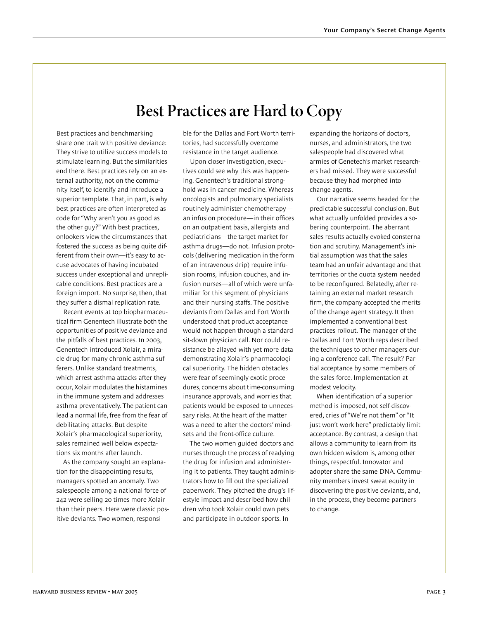## **Best Practices are Hard to Copy**

Best practices and benchmarking share one trait with positive deviance: They strive to utilize success models to stimulate learning. But the similarities end there. Best practices rely on an external authority, not on the community itself, to identify and introduce a superior template. That, in part, is why best practices are often interpreted as code for "Why aren't you as good as the other guy?" With best practices, onlookers view the circumstances that fostered the success as being quite different from their own—it's easy to accuse advocates of having incubated success under exceptional and unreplicable conditions. Best practices are a foreign import. No surprise, then, that they suffer a dismal replication rate.

Recent events at top biopharmaceutical firm Genentech illustrate both the opportunities of positive deviance and the pitfalls of best practices. In 2003, Genentech introduced Xolair, a miracle drug for many chronic asthma sufferers. Unlike standard treatments, which arrest asthma attacks after they occur, Xolair modulates the histamines in the immune system and addresses asthma preventatively. The patient can lead a normal life, free from the fear of debilitating attacks. But despite Xolair's pharmacological superiority, sales remained well below expectations six months after launch.

As the company sought an explanation for the disappointing results, managers spotted an anomaly. Two salespeople among a national force of 242 were selling 20 times more Xolair than their peers. Here were classic positive deviants. Two women, responsi-

ble for the Dallas and Fort Worth territories, had successfully overcome resistance in the target audience.

Upon closer investigation, executives could see why this was happening. Genentech's traditional stronghold was in cancer medicine. Whereas oncologists and pulmonary specialists routinely administer chemotherapy an infusion procedure—in their offices on an outpatient basis, allergists and pediatricians—the target market for asthma drugs—do not. Infusion protocols (delivering medication in the form of an intravenous drip) require infusion rooms, infusion couches, and infusion nurses—all of which were unfamiliar for this segment of physicians and their nursing staffs. The positive deviants from Dallas and Fort Worth understood that product acceptance would not happen through a standard sit-down physician call. Nor could resistance be allayed with yet more data demonstrating Xolair's pharmacological superiority. The hidden obstacles were fear of seemingly exotic procedures, concerns about time-consuming insurance approvals, and worries that patients would be exposed to unnecessary risks. At the heart of the matter was a need to alter the doctors' mindsets and the front-office culture.

The two women guided doctors and nurses through the process of readying the drug for infusion and administering it to patients. They taught administrators how to fill out the specialized paperwork. They pitched the drug's lifestyle impact and described how children who took Xolair could own pets and participate in outdoor sports. In

expanding the horizons of doctors, nurses, and administrators, the two salespeople had discovered what armies of Genetech's market researchers had missed. They were successful because they had morphed into change agents.

Our narrative seems headed for the predictable successful conclusion. But what actually unfolded provides a sobering counterpoint. The aberrant sales results actually evoked consternation and scrutiny. Management's initial assumption was that the sales team had an unfair advantage and that territories or the quota system needed to be reconfigured. Belatedly, after retaining an external market research firm, the company accepted the merits of the change agent strategy. It then implemented a conventional best practices rollout. The manager of the Dallas and Fort Worth reps described the techniques to other managers during a conference call. The result? Partial acceptance by some members of the sales force. Implementation at modest velocity.

When identification of a superior method is imposed, not self-discovered, cries of "We're not them" or "It just won't work here" predictably limit acceptance. By contrast, a design that allows a community to learn from its own hidden wisdom is, among other things, respectful. Innovator and adopter share the same DNA. Community members invest sweat equity in discovering the positive deviants, and, in the process, they become partners to change.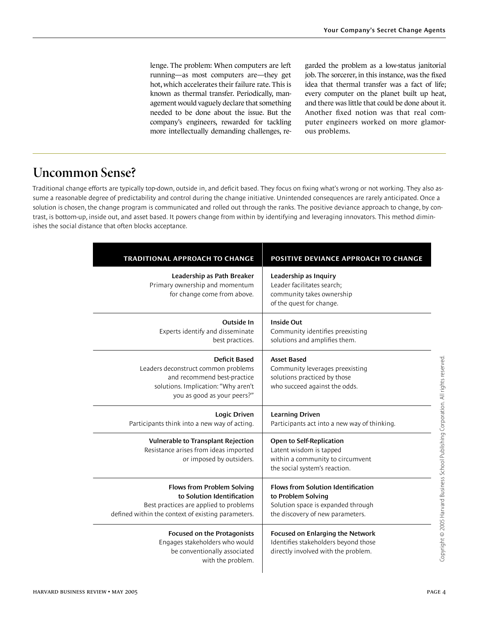lenge. The problem: When computers are left running—as most computers are—they get hot, which accelerates their failure rate. This is known as thermal transfer. Periodically, management would vaguely declare that something needed to be done about the issue. But the company's engineers, rewarded for tackling more intellectually demanding challenges, regarded the problem as a low-status janitorial job. The sorcerer, in this instance, was the fixed idea that thermal transfer was a fact of life; every computer on the planet built up heat, and there was little that could be done about it. Another fixed notion was that real computer engineers worked on more glamorous problems.

## **Uncommon Sense?**

Traditional change efforts are typically top-down, outside in, and deficit based. They focus on fixing what's wrong or not working. They also assume a reasonable degree of predictability and control during the change initiative. Unintended consequences are rarely anticipated. Once a solution is chosen, the change program is communicated and rolled out through the ranks. The positive deviance approach to change, by contrast, is bottom-up, inside out, and asset based. It powers change from within by identifying and leveraging innovators. This method diminishes the social distance that often blocks acceptance.

| <b>TRADITIONAL APPROACH TO CHANGE</b>                                                                                                                     | POSITIVE DEVIANCE APPROACH TO CHANGE                                                                                                      |
|-----------------------------------------------------------------------------------------------------------------------------------------------------------|-------------------------------------------------------------------------------------------------------------------------------------------|
| Leadership as Path Breaker<br>Primary ownership and momentum<br>for change come from above.                                                               | Leadership as Inquiry<br>Leader facilitates search;<br>community takes ownership<br>of the quest for change.                              |
| Outside In<br>Experts identify and disseminate<br>best practices.                                                                                         | <b>Inside Out</b><br>Community identifies preexisting<br>solutions and amplifies them.                                                    |
| Deficit Based<br>Leaders deconstruct common problems<br>and recommend best-practice<br>solutions. Implication: "Why aren't<br>you as good as your peers?" | <b>Asset Based</b><br>Community leverages preexisting<br>solutions practiced by those<br>who succeed against the odds.                    |
| Logic Driven<br>Participants think into a new way of acting.                                                                                              | <b>Learning Driven</b><br>Participants act into a new way of thinking.                                                                    |
| <b>Vulnerable to Transplant Rejection</b><br>Resistance arises from ideas imported<br>or imposed by outsiders.                                            | Open to Self-Replication<br>Latent wisdom is tapped<br>within a community to circumvent<br>the social system's reaction.                  |
| Flows from Problem Solving<br>to Solution Identification<br>Best practices are applied to problems<br>defined within the context of existing parameters.  | <b>Flows from Solution Identification</b><br>to Problem Solving<br>Solution space is expanded through<br>the discovery of new parameters. |
| Focused on the Protagonists<br>Engages stakeholders who would<br>be conventionally associated<br>with the problem.                                        | Focused on Enlarging the Network<br>Identifies stakeholders beyond those<br>directly involved with the problem.                           |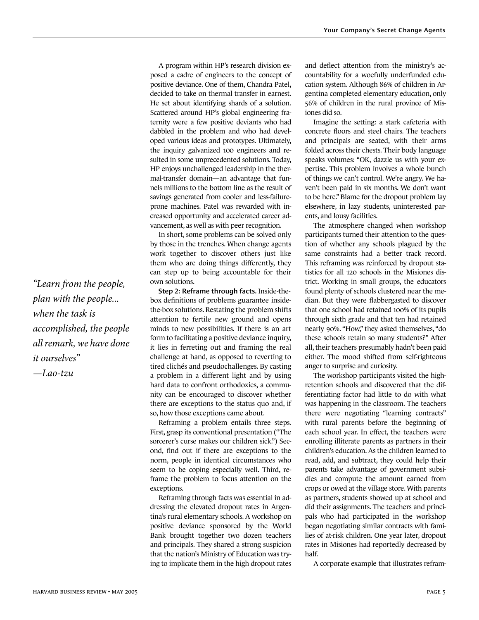A program within HP's research division exposed a cadre of engineers to the concept of positive deviance. One of them, Chandra Patel, decided to take on thermal transfer in earnest. He set about identifying shards of a solution. Scattered around HP's global engineering fraternity were a few positive deviants who had dabbled in the problem and who had developed various ideas and prototypes. Ultimately, the inquiry galvanized 100 engineers and resulted in some unprecedented solutions. Today, HP enjoys unchallenged leadership in the thermal-transfer domain—an advantage that funnels millions to the bottom line as the result of savings generated from cooler and less-failureprone machines. Patel was rewarded with increased opportunity and accelerated career advancement, as well as with peer recognition.

In short, some problems can be solved only by those in the trenches. When change agents work together to discover others just like them who are doing things differently, they can step up to being accountable for their own solutions.

**Step 2: Reframe through facts.** Inside-thebox definitions of problems guarantee insidethe-box solutions. Restating the problem shifts attention to fertile new ground and opens minds to new possibilities. If there is an art form to facilitating a positive deviance inquiry, it lies in ferreting out and framing the real challenge at hand, as opposed to reverting to tired clichés and pseudochallenges. By casting a problem in a different light and by using hard data to confront orthodoxies, a community can be encouraged to discover whether there are exceptions to the status quo and, if so, how those exceptions came about.

Reframing a problem entails three steps. First, grasp its conventional presentation ("The sorcerer's curse makes our children sick.") Second, find out if there are exceptions to the norm, people in identical circumstances who seem to be coping especially well. Third, reframe the problem to focus attention on the exceptions.

Reframing through facts was essential in addressing the elevated dropout rates in Argentina's rural elementary schools. A workshop on positive deviance sponsored by the World Bank brought together two dozen teachers and principals. They shared a strong suspicion that the nation's Ministry of Education was trying to implicate them in the high dropout rates

and deflect attention from the ministry's accountability for a woefully underfunded education system. Although 86% of children in Argentina completed elementary education, only 56% of children in the rural province of Misiones did so.

Imagine the setting: a stark cafeteria with concrete floors and steel chairs. The teachers and principals are seated, with their arms folded across their chests. Their body language speaks volumes: "OK, dazzle us with your expertise. This problem involves a whole bunch of things we can't control. We're angry. We haven't been paid in six months. We don't want to be here." Blame for the dropout problem lay elsewhere, in lazy students, uninterested parents, and lousy facilities.

The atmosphere changed when workshop participants turned their attention to the question of whether any schools plagued by the same constraints had a better track record. This reframing was reinforced by dropout statistics for all 120 schools in the Misiones district. Working in small groups, the educators found plenty of schools clustered near the median. But they were flabbergasted to discover that one school had retained 100% of its pupils through sixth grade and that ten had retained nearly 90%. "How," they asked themselves, "do these schools retain so many students?" After all, their teachers presumably hadn't been paid either. The mood shifted from self-righteous anger to surprise and curiosity.

The workshop participants visited the highretention schools and discovered that the differentiating factor had little to do with what was happening in the classroom. The teachers there were negotiating "learning contracts" with rural parents before the beginning of each school year. In effect, the teachers were enrolling illiterate parents as partners in their children's education. As the children learned to read, add, and subtract, they could help their parents take advantage of government subsidies and compute the amount earned from crops or owed at the village store. With parents as partners, students showed up at school and did their assignments. The teachers and principals who had participated in the workshop began negotiating similar contracts with families of at-risk children. One year later, dropout rates in Misiones had reportedly decreased by half.

A corporate example that illustrates refram-

*"Learn from the people, plan with the people... when the task is accomplished, the people all remark, we have done it ourselves"*

*—Lao-tzu*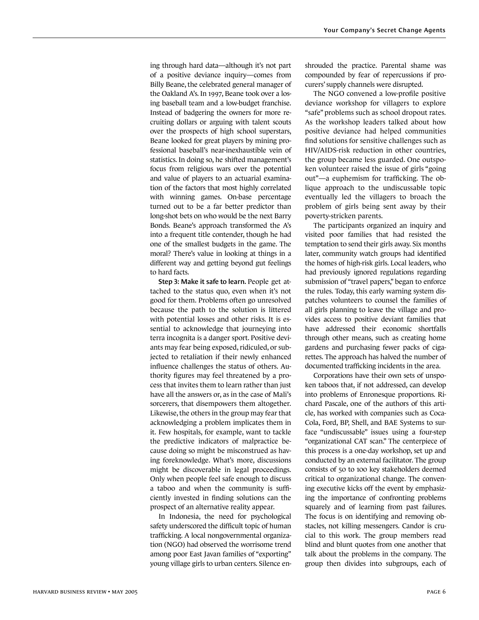ing through hard data—although it's not part of a positive deviance inquiry—comes from Billy Beane, the celebrated general manager of the Oakland A's. In 1997, Beane took over a losing baseball team and a low-budget franchise. Instead of badgering the owners for more recruiting dollars or arguing with talent scouts over the prospects of high school superstars, Beane looked for great players by mining professional baseball's near-inexhaustible vein of statistics. In doing so, he shifted management's focus from religious wars over the potential and value of players to an actuarial examination of the factors that most highly correlated with winning games. On-base percentage turned out to be a far better predictor than long-shot bets on who would be the next Barry Bonds. Beane's approach transformed the A's into a frequent title contender, though he had one of the smallest budgets in the game. The moral? There's value in looking at things in a different way and getting beyond gut feelings to hard facts.

**Step 3: Make it safe to learn.** People get attached to the status quo, even when it's not good for them. Problems often go unresolved because the path to the solution is littered with potential losses and other risks. It is essential to acknowledge that journeying into terra incognita is a danger sport. Positive deviants may fear being exposed, ridiculed, or subjected to retaliation if their newly enhanced influence challenges the status of others. Authority figures may feel threatened by a process that invites them to learn rather than just have all the answers or, as in the case of Mali's sorcerers, that disempowers them altogether. Likewise, the others in the group may fear that acknowledging a problem implicates them in it. Few hospitals, for example, want to tackle the predictive indicators of malpractice because doing so might be misconstrued as having foreknowledge. What's more, discussions might be discoverable in legal proceedings. Only when people feel safe enough to discuss a taboo and when the community is sufficiently invested in finding solutions can the prospect of an alternative reality appear.

In Indonesia, the need for psychological safety underscored the difficult topic of human trafficking. A local nongovernmental organization (NGO) had observed the worrisome trend among poor East Javan families of "exporting" young village girls to urban centers. Silence enshrouded the practice. Parental shame was compounded by fear of repercussions if procurers' supply channels were disrupted.

The NGO convened a low-profile positive deviance workshop for villagers to explore "safe" problems such as school dropout rates. As the workshop leaders talked about how positive deviance had helped communities find solutions for sensitive challenges such as HIV/AIDS-risk reduction in other countries, the group became less guarded. One outspoken volunteer raised the issue of girls "going out"—a euphemism for trafficking. The oblique approach to the undiscussable topic eventually led the villagers to broach the problem of girls being sent away by their poverty-stricken parents.

The participants organized an inquiry and visited poor families that had resisted the temptation to send their girls away. Six months later, community watch groups had identified the homes of high-risk girls. Local leaders, who had previously ignored regulations regarding submission of "travel papers," began to enforce the rules. Today, this early warning system dispatches volunteers to counsel the families of all girls planning to leave the village and provides access to positive deviant families that have addressed their economic shortfalls through other means, such as creating home gardens and purchasing fewer packs of cigarettes. The approach has halved the number of documented trafficking incidents in the area.

Corporations have their own sets of unspoken taboos that, if not addressed, can develop into problems of Enronesque proportions. Richard Pascale, one of the authors of this article, has worked with companies such as Coca-Cola, Ford, BP, Shell, and BAE Systems to surface "undiscussable" issues using a four-step "organizational CAT scan." The centerpiece of this process is a one-day workshop, set up and conducted by an external facilitator. The group consists of 50 to 100 key stakeholders deemed critical to organizational change. The convening executive kicks off the event by emphasizing the importance of confronting problems squarely and of learning from past failures. The focus is on identifying and removing obstacles, not killing messengers. Candor is crucial to this work. The group members read blind and blunt quotes from one another that talk about the problems in the company. The group then divides into subgroups, each of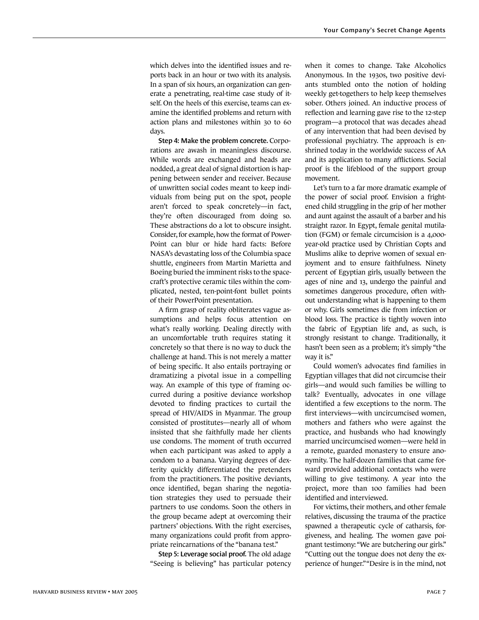which delves into the identified issues and reports back in an hour or two with its analysis. In a span of six hours, an organization can generate a penetrating, real-time case study of itself. On the heels of this exercise, teams can examine the identified problems and return with action plans and milestones within 30 to 60 days.

**Step 4: Make the problem concrete.** Corporations are awash in meaningless discourse. While words are exchanged and heads are nodded, a great deal of signal distortion is happening between sender and receiver. Because of unwritten social codes meant to keep individuals from being put on the spot, people aren't forced to speak concretely—in fact, they're often discouraged from doing so. These abstractions do a lot to obscure insight. Consider, for example, how the format of Power-Point can blur or hide hard facts: Before NASA's devastating loss of the Columbia space shuttle, engineers from Martin Marietta and Boeing buried the imminent risks to the spacecraft's protective ceramic tiles within the complicated, nested, ten-point-font bullet points of their PowerPoint presentation.

A firm grasp of reality obliterates vague assumptions and helps focus attention on what's really working. Dealing directly with an uncomfortable truth requires stating it concretely so that there is no way to duck the challenge at hand. This is not merely a matter of being specific. It also entails portraying or dramatizing a pivotal issue in a compelling way. An example of this type of framing occurred during a positive deviance workshop devoted to finding practices to curtail the spread of HIV/AIDS in Myanmar. The group consisted of prostitutes—nearly all of whom insisted that she faithfully made her clients use condoms. The moment of truth occurred when each participant was asked to apply a condom to a banana. Varying degrees of dexterity quickly differentiated the pretenders from the practitioners. The positive deviants, once identified, began sharing the negotiation strategies they used to persuade their partners to use condoms. Soon the others in the group became adept at overcoming their partners' objections. With the right exercises, many organizations could profit from appropriate reincarnations of the "banana test."

**Step 5: Leverage social proof.** The old adage "Seeing is believing" has particular potency when it comes to change. Take Alcoholics Anonymous. In the 1930s, two positive deviants stumbled onto the notion of holding weekly get-togethers to help keep themselves sober. Others joined. An inductive process of reflection and learning gave rise to the 12-step program—a protocol that was decades ahead of any intervention that had been devised by professional psychiatry. The approach is enshrined today in the worldwide success of AA and its application to many afflictions. Social proof is the lifeblood of the support group movement.

Let's turn to a far more dramatic example of the power of social proof. Envision a frightened child struggling in the grip of her mother and aunt against the assault of a barber and his straight razor. In Egypt, female genital mutilation (FGM) or female circumcision is a 4,000 year-old practice used by Christian Copts and Muslims alike to deprive women of sexual enjoyment and to ensure faithfulness. Ninety percent of Egyptian girls, usually between the ages of nine and 13, undergo the painful and sometimes dangerous procedure, often without understanding what is happening to them or why. Girls sometimes die from infection or blood loss. The practice is tightly woven into the fabric of Egyptian life and, as such, is strongly resistant to change. Traditionally, it hasn't been seen as a problem; it's simply "the way it is."

Could women's advocates find families in Egyptian villages that did not circumcise their girls—and would such families be willing to talk? Eventually, advocates in one village identified a few exceptions to the norm. The first interviews—with uncircumcised women, mothers and fathers who were against the practice, and husbands who had knowingly married uncircumcised women—were held in a remote, guarded monastery to ensure anonymity. The half-dozen families that came forward provided additional contacts who were willing to give testimony. A year into the project, more than 100 families had been identified and interviewed.

For victims, their mothers, and other female relatives, discussing the trauma of the practice spawned a therapeutic cycle of catharsis, forgiveness, and healing. The women gave poignant testimony: "We are butchering our girls." "Cutting out the tongue does not deny the experience of hunger." "Desire is in the mind, not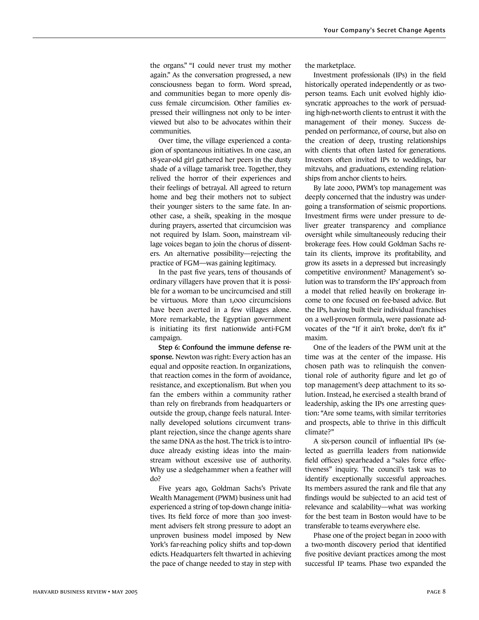the organs." "I could never trust my mother again." As the conversation progressed, a new consciousness began to form. Word spread, and communities began to more openly discuss female circumcision. Other families expressed their willingness not only to be interviewed but also to be advocates within their communities.

Over time, the village experienced a contagion of spontaneous initiatives. In one case, an 18-year-old girl gathered her peers in the dusty shade of a village tamarisk tree. Together, they relived the horror of their experiences and their feelings of betrayal. All agreed to return home and beg their mothers not to subject their younger sisters to the same fate. In another case, a sheik, speaking in the mosque during prayers, asserted that circumcision was not required by Islam. Soon, mainstream village voices began to join the chorus of dissenters. An alternative possibility—rejecting the practice of FGM—was gaining legitimacy.

In the past five years, tens of thousands of ordinary villagers have proven that it is possible for a woman to be uncircumcised and still be virtuous. More than 1,000 circumcisions have been averted in a few villages alone. More remarkable, the Egyptian government is initiating its first nationwide anti-FGM campaign.

**Step 6: Confound the immune defense response.** Newton was right: Every action has an equal and opposite reaction. In organizations, that reaction comes in the form of avoidance, resistance, and exceptionalism. But when you fan the embers within a community rather than rely on firebrands from headquarters or outside the group, change feels natural. Internally developed solutions circumvent transplant rejection, since the change agents share the same DNA as the host. The trick is to introduce already existing ideas into the mainstream without excessive use of authority. Why use a sledgehammer when a feather will do?

Five years ago, Goldman Sachs's Private Wealth Management (PWM) business unit had experienced a string of top-down change initiatives. Its field force of more than 300 investment advisers felt strong pressure to adopt an unproven business model imposed by New York's far-reaching policy shifts and top-down edicts. Headquarters felt thwarted in achieving the pace of change needed to stay in step with

the marketplace.

Investment professionals (IPs) in the field historically operated independently or as twoperson teams. Each unit evolved highly idiosyncratic approaches to the work of persuading high-net-worth clients to entrust it with the management of their money. Success depended on performance, of course, but also on the creation of deep, trusting relationships with clients that often lasted for generations. Investors often invited IPs to weddings, bar mitzvahs, and graduations, extending relationships from anchor clients to heirs.

By late 2000, PWM's top management was deeply concerned that the industry was undergoing a transformation of seismic proportions. Investment firms were under pressure to deliver greater transparency and compliance oversight while simultaneously reducing their brokerage fees. How could Goldman Sachs retain its clients, improve its profitability, and grow its assets in a depressed but increasingly competitive environment? Management's solution was to transform the IPs' approach from a model that relied heavily on brokerage income to one focused on fee-based advice. But the IPs, having built their individual franchises on a well-proven formula, were passionate advocates of the "If it ain't broke, don't fix it" maxim.

One of the leaders of the PWM unit at the time was at the center of the impasse. His chosen path was to relinquish the conventional role of authority figure and let go of top management's deep attachment to its solution. Instead, he exercised a stealth brand of leadership, asking the IPs one arresting question: "Are some teams, with similar territories and prospects, able to thrive in this difficult climate?"

A six-person council of influential IPs (selected as guerrilla leaders from nationwide field offices) spearheaded a "sales force effectiveness" inquiry. The council's task was to identify exceptionally successful approaches. Its members assured the rank and file that any findings would be subjected to an acid test of relevance and scalability—what was working for the best team in Boston would have to be transferable to teams everywhere else.

Phase one of the project began in 2000 with a two-month discovery period that identified five positive deviant practices among the most successful IP teams. Phase two expanded the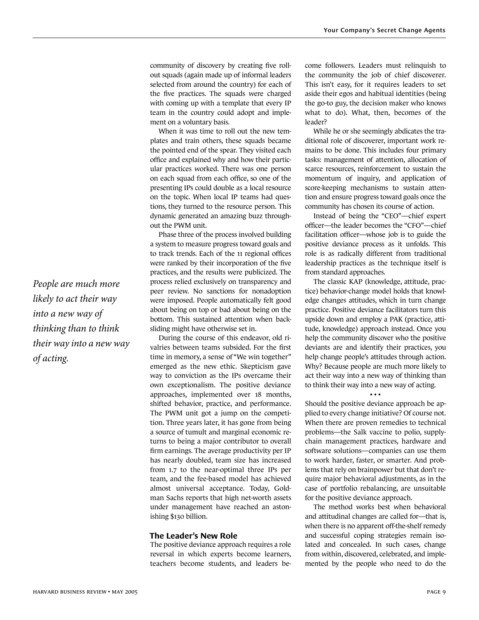community of discovery by creating five rollout squads (again made up of informal leaders selected from around the country) for each of the five practices. The squads were charged with coming up with a template that every IP team in the country could adopt and implement on a voluntary basis.

When it was time to roll out the new templates and train others, these squads became the pointed end of the spear. They visited each office and explained why and how their particular practices worked. There was one person on each squad from each office, so one of the presenting IPs could double as a local resource on the topic. When local IP teams had questions, they turned to the resource person. This dynamic generated an amazing buzz throughout the PWM unit.

Phase three of the process involved building a system to measure progress toward goals and to track trends. Each of the 11 regional offices were ranked by their incorporation of the five practices, and the results were publicized. The process relied exclusively on transparency and peer review. No sanctions for nonadoption were imposed. People automatically felt good about being on top or bad about being on the bottom. This sustained attention when backsliding might have otherwise set in.

During the course of this endeavor, old rivalries between teams subsided. For the first time in memory, a sense of "We win together" emerged as the new ethic. Skepticism gave way to conviction as the IPs overcame their own exceptionalism. The positive deviance approaches, implemented over 18 months, shifted behavior, practice, and performance. The PWM unit got a jump on the competition. Three years later, it has gone from being a source of tumult and marginal economic returns to being a major contributor to overall firm earnings. The average productivity per IP has nearly doubled, team size has increased from 1.7 to the near-optimal three IPs per team, and the fee-based model has achieved almost universal acceptance. Today, Goldman Sachs reports that high net-worth assets under management have reached an astonishing \$130 billion.

#### **The Leader's New Role**

The positive deviance approach requires a role reversal in which experts become learners, teachers become students, and leaders become followers. Leaders must relinquish to the community the job of chief discoverer. This isn't easy, for it requires leaders to set aside their egos and habitual identities (being the go-to guy, the decision maker who knows what to do). What, then, becomes of the leader?

While he or she seemingly abdicates the traditional role of discoverer, important work remains to be done. This includes four primary tasks: management of attention, allocation of scarce resources, reinforcement to sustain the momentum of inquiry, and application of score-keeping mechanisms to sustain attention and ensure progress toward goals once the community has chosen its course of action.

Instead of being the "CEO"—chief expert officer—the leader becomes the "CFO"—chief facilitation officer—whose job is to guide the positive deviance process as it unfolds. This role is as radically different from traditional leadership practices as the technique itself is from standard approaches.

The classic KAP (knowledge, attitude, practice) behavior-change model holds that knowledge changes attitudes, which in turn change practice. Positive deviance facilitators turn this upside down and employ a PAK (practice, attitude, knowledge) approach instead. Once you help the community discover who the positive deviants are and identify their practices, you help change people's attitudes through action. Why? Because people are much more likely to act their way into a new way of thinking than to think their way into a new way of acting.

• • •

Should the positive deviance approach be applied to every change initiative? Of course not. When there are proven remedies to technical problems—the Salk vaccine to polio, supplychain management practices, hardware and software solutions—companies can use them to work harder, faster, or smarter. And problems that rely on brainpower but that don't require major behavioral adjustments, as in the case of portfolio rebalancing, are unsuitable for the positive deviance approach.

The method works best when behavioral and attitudinal changes are called for—that is, when there is no apparent off-the-shelf remedy and successful coping strategies remain isolated and concealed. In such cases, change from within, discovered, celebrated, and implemented by the people who need to do the

*People are much more likely to act their way into a new way of thinking than to think their way into a new way of acting.*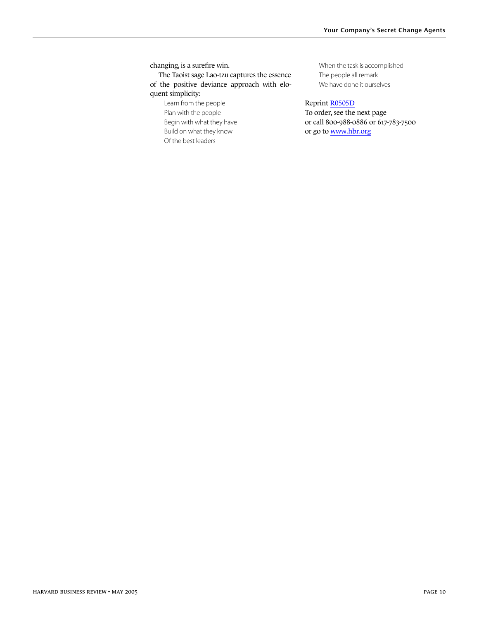changing, is a surefire win.

The Taoist sage Lao-tzu captures the essence of the positive deviance approach with eloquent simplicity:

Learn from the people Plan with the people Begin with what they have Build on what they know Of the best leaders

When the task is accomplished The people all remark We have done it ourselves

#### Reprint [R0505D](http://harvardbusinessonline.hbsp.harvard.edu/relay.jhtml?name=itemdetail&referral=4320&id=R0505D)

To order, see the next page or call 800-988-0886 or 617-783-7500 or go to [www.hbr.org](http://www.hbr.org)